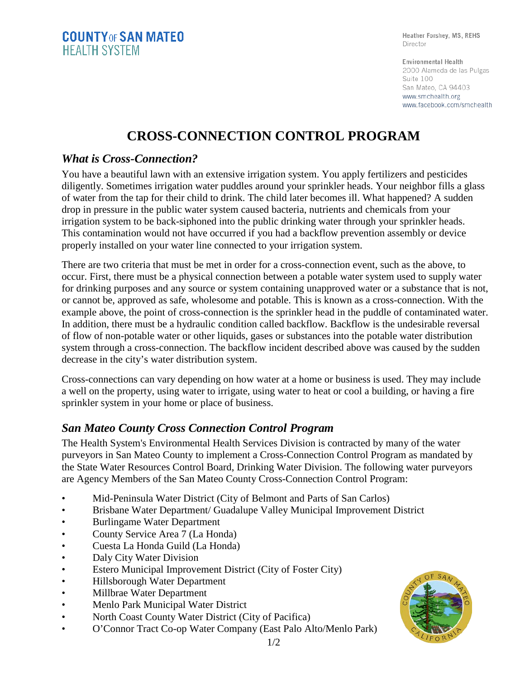Heather Forshey, MS, REHS Director

Environmental Health 2000 Alameda de las Pulgas Suite 100 San Mateo, CA 94403 www.smchealth.org www.facebook.com/smchealth

## **CROSS-CONNECTION CONTROL PROGRAM**

## *What is Cross-Connection?*

You have a beautiful lawn with an extensive irrigation system. You apply fertilizers and pesticides diligently. Sometimes irrigation water puddles around your sprinkler heads. Your neighbor fills a glass of water from the tap for their child to drink. The child later becomes ill. What happened? A sudden drop in pressure in the public water system caused bacteria, nutrients and chemicals from your irrigation system to be back-siphoned into the public drinking water through your sprinkler heads. This contamination would not have occurred if you had a backflow prevention assembly or device properly installed on your water line connected to your irrigation system.

There are two criteria that must be met in order for a cross-connection event, such as the above, to occur. First, there must be a physical connection between a potable water system used to supply water for drinking purposes and any source or system containing unapproved water or a substance that is not, or cannot be, approved as safe, wholesome and potable. This is known as a cross-connection. With the example above, the point of cross-connection is the sprinkler head in the puddle of contaminated water. In addition, there must be a hydraulic condition called backflow. Backflow is the undesirable reversal of flow of non-potable water or other liquids, gases or substances into the potable water distribution system through a cross-connection. The backflow incident described above was caused by the sudden decrease in the city's water distribution system.

Cross-connections can vary depending on how water at a home or business is used. They may include a well on the property, using water to irrigate, using water to heat or cool a building, or having a fire sprinkler system in your home or place of business.

## *San Mateo County Cross Connection Control Program*

The Health System's Environmental Health Services Division is contracted by many of the water purveyors in San Mateo County to implement a Cross-Connection Control Program as mandated by the State Water Resources Control Board, Drinking Water Division. The following water purveyors are Agency Members of the San Mateo County Cross-Connection Control Program:

- Mid-Peninsula Water District (City of Belmont and Parts of San Carlos)
- Brisbane Water Department/ Guadalupe Valley Municipal Improvement District
- Burlingame Water Department
- County Service Area 7 (La Honda)
- Cuesta La Honda Guild (La Honda)
- Daly City Water Division
- Estero Municipal Improvement District (City of Foster City)
- Hillsborough Water Department
- Millbrae Water Department
- Menlo Park Municipal Water District
- North Coast County Water District (City of Pacifica)
- O'Connor Tract Co-op Water Company (East Palo Alto/Menlo Park)